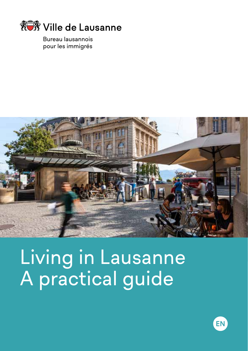

Bureau lausannois pour les immigrés



Living in Lausanne A practical guide

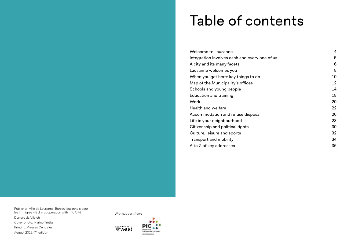## Table of contents

| Welcome to Lausanne                           | 4  |
|-----------------------------------------------|----|
| Integration involves each and every one of us | 5  |
| A city and its many facets                    | 6  |
| Lausanne welcomes you                         | 8  |
| When you get here: key things to do           | 10 |
| Map of the Municipality's offices             | 12 |
| Schools and young people                      | 14 |
| Education and training                        | 18 |
| Work                                          | 20 |
| Health and welfare                            | 22 |
| Accommodation and refuse disposal             | 26 |
| Life in your neighbourhood                    | 28 |
| Citizenship and political rights              | 30 |
| Culture, leisure and sports                   | 32 |
| Transport and mobility                        | 34 |
| A to Z of key addresses                       | 36 |

Publisher: Ville de Lausanne, Bureau lausannois pour les immigrés – BLI in cooperation with Info Cité Design: alafolie.ch Cover photo: Marino Trotta Printing: Presses Centrales August 2019, 7<sup>th</sup> edition

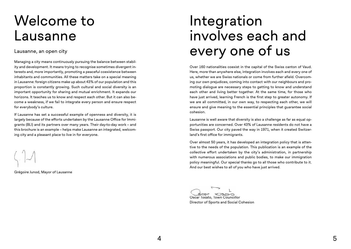## Welcome to Lausanne

## Lausanne, an open city

Managing a city means continuously pursuing the balance between stability and development. It means trying to recognise sometimes divergent interests and, more importantly, promoting a peaceful coexistence between inhabitants and communities. All these matters take on a special meaning in Lausanne: foreign citizens make up about 43% of our population and this proportion is constantly growing. Such cultural and social diversity is an important opportunity for sharing and mutual enrichment. It expands our horizons. It teaches us to know and respect each other. But it can also become a weakness, if we fail to integrate every person and ensure respect for everybody's culture.

If Lausanne has set a successful example of openness and diversity, it is largely because of the efforts undertaken by the Lausanne Office for Immigrants (BLI) and its partners over many years. Their day-to-day work – and this brochure is an example – helps make Lausanne an integrated, welcoming city and a pleasant place to live in for everyone.

Grégoire Junod, Mayor of Lausanne

## Integration involves each and every one of us

Over 160 nationalities coexist in the capital of the Swiss canton of Vaud. Here, more than anywhere else, integration involves each and every one of us, whether we are Swiss nationals or come from further afield. Overcoming our own prejudices, coming into contact with our neighbours and promoting dialogue are necessary steps to getting to know and understand each other and living better together. At the same time, for those who have just arrived, learning French is the first step to greater autonomy. If we are all committed, in our own way, to respecting each other, we will ensure and give meaning to the essential principles that guarantee social cohesion.

Lausanne is well aware that diversity is also a challenge as far as equal opportunities are concerned. Over 43% of Lausanne residents do not have a Swiss passport. Our city paved the way in 1971, when it created Switzerland's first office for immigrants.

Over almost 50 years, it has developed an integration policy that is attentive to the needs of the population. This publication is an example of the collective effort undertaken by the city's administration, in partnership with numerous associations and public bodies, to make our immigration policy meaningful. Our special thanks go to all those who contribute to it. And our best wishes to all of you who have just arrived.

Oscar Tosato, Town Councillor Director of Sports and Social Cohesion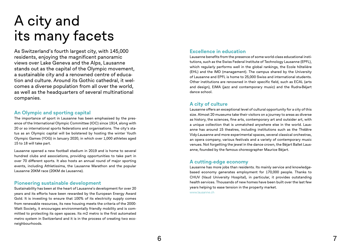# A city and its many facets

As Switzerland's fourth largest city, with 145,000 residents, enjoying the magnificent panoramic views over Lake Geneva and the Alps, Lausanne stands out as the capital of the Olympic movement, a sustainable city and a renowned centre of educa tion and culture. Around its Gothic cathedral, it wel comes a diverse population from all over the world, as well as the headquarters of several multinational companies.

### **An Olympic and sporting capital**

The importance of sport in Lausanne has been emphasised by the pres ence of the International Olympic Committee (IOC) since 1914, along with 20 or so international sports federations and organisations. The city's sta tus as an Olympic capital will be bolstered by hosting the winter Youth Olympic Games (YOG) in January 2020, in which over 1,000 athletes aged 15 to 18 will take part.

Lausanne opened a new football stadium in 2019 and is home to several hundred clubs and associations, providing opportunities to take part in over 70 different sports. It also hosts an annual round of major sporting events, including Athletissima, the Lausanne Marathon and the popular Lausanne 20KM race (20KM de Lausanne).

## **Pioneering sustainable development**

Sustainability has been at the heart of Lausanne's development for over 20 years and its efforts have been rewarded by the European Energy Award Gold. It is investing to ensure that 100% of its electricity supply comes from renewable resources, its new housing meets the criteria of the 2000- Watt Society, it encourages environmentally friendly mobility and is com mitted to protecting its open spaces. Its m2 metro is the first automated metro system in Switzerland and it is in the process of creating two econeighbourhoods.

## **Excellence in education**

Lausanne benefits from the presence of some world-class educational insti tutions, such as the Swiss Federal Institute of Technology Lausanne (EPFL), which regularly performs well in the global rankings, the Ecole hôtelière (EHL) and the IMD (management). The campus shared by the University of Lausanne and EPFL is home to 25,000 Swiss and international students. Other institutions are renowned in their specific field, such as ECAL (arts and design), EJMA (jazz and contemporary music) and the Rudra-Béjart dance school.

## **A city of culture**

Lausanne offers an exceptional level of cultural opportunity for a city of this size. Almost 20 museums take their visitors on a journey to areas as diverse as history, the sciences, fine arts, contemporary art and outsider art, with a unique collection that is unmatched anywhere else in the world. Laus anne has around 15 theatres, including institutions such as the Théâtre Vidy-Lausanne and more experimental spaces, several classical orchestras, an opera company, various festivals and a variety of contemporary music venues. Not forgetting the jewel in the dance crown, the Béjart Ballet Laus anne, founded by the famous choreographer Maurice Béjart.

#### **A cutting-edge economy**

Lausanne has more jobs than residents. Its mainly service and knowledgebased economy generates employment for 170,000 people. Thanks to CHUV (Vaud University Hospital), in particular, it provides outstanding health services. Thousands of new homes have been built over the last few years helping to ease tension in the property market.

www.lausanne.ch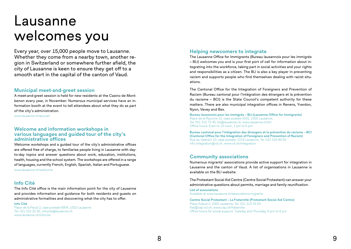## Lausanne welcomes you

Every year, over 15,000 people move to Lausanne. Whether they come from a nearby town, another region in Switzerland or somewhere further afield, the city of Lausanne is keen to ensure they get off to a smooth start in the capital of the canton of Vaud.

#### **Municipal meet-and-greet session**

A meet-and-greet session is held for new residents at the Casino de Montbenon every year, in November. Numerous municipal services have an information booth at the event to tell attendees about what they do as part of the city's administration.

www.lausanne.ch/accueil

#### **Welcome and information workshops in various languages and guided tour of the city's administrative offices**

Welcome workshops and a guided tour of the city's administrative offices are offered free of charge, to familiarise people living in Lausanne with dayto-day topics and answer questions about work, education, institutions, health, housing and the school system. The workshops are offered in a range of languages, currently French, English, Spanish, Italian and Portuguese. www.lausanne.ch/welcome

## **Info Cité**

The Info Cité office is the main information point for the city of Lausanne and provides information and guidance for both residents and guests on administrative formalities and discovering what the city has to offer.

#### **Info Cité**

Place de la Palud 2, case postale 6904, 1002 Lausanne Tel. 021 315 25 55, infocite@lausanne.ch www.lausanne.ch/infocite

### **Helping newcomers to integrate**

The Lausanne Office for Immigrants (Bureau lausannois pour les immigrés – BLI) welcomes you and is your first port of call for information about integrating into the workforce, taking part in social activities and your rights and responsibilities as a citizen. The BLI is also a key player in preventing racism and supports people who find themselves dealing with racist situations.

The Cantonal Office for the Integration of Foreigners and Prevention of Racism (Bureau cantonal pour l'intégration des étrangers et la prévention du racisme – BCI) is the State Council's competent authority for these matters. There are also municipal integration offices in Renens, Yverdon, Nyon, Vevey and Bex.

**Bureau lausannois pour les immigrés – BLI (Lausanne Office for Immigrants)** Place de la Riponne 10, case postale 5032, 1002 Lausanne, Tel. 021 315 72 45, bli@lausanne.ch, www.lausanne.ch/bli Office hours: 8 am to 12 noon, 1 pm to 5 pm

**Bureau cantonal pour l'intégration des étrangers et la prévention du racisme – BCI (Cantonal Office for the Integration of Foreigners and Prevention of Racism)** Rue du Valentin 10, case postale, 1014 Lausanne, Tel. 021 316 49 59 info.integration@vd.ch, www.vd.ch/integration

### **Community associations**

Numerous migrants' associations provide active support for integration in Lausanne and the canton of Vaud. A list of organisations in Lausanne is available on the BLI website.

The Protestant Social Aid Centre (Centre Social Protestant) can answer your administrative questions about permits, marriage and family reunification.

**List of associations**  Available at www.lausanne.ch/associations-migrants

**Centre Social Protestant – La Fraternité (Protestant Social Aid Centre)** Place Arlaud 2, 1003 Lausanne, Tel. 021 213 03 53 frat@csp-vd.ch, www.csp.ch/fraternite Office hours for social support: Tuesday and Thursday, 6 pm to 8 pm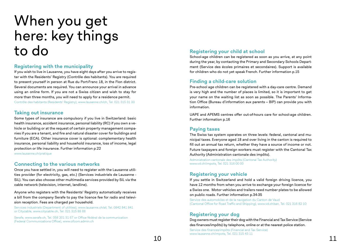## When you get here: key things<br>to do to do **Registering your child at school**<br>School-age children can be registered as soc

## **Registering with the municipality**

If you wish to live in Lausanne, you have eight days after you arrive to regis ter with the Residents' Registry (Contrôle des habitants). You are required to present yourself in person at Rue du Port-Franc 18, in the Flon district. Several documents are required. You can announce your arrival in advance using an online form. If you are not a Swiss citizen and wish to stay for more than three months, you will need to apply for a residence permit. Contrôle des habitants (Residents' Registry), www.lausanne.ch/ch, Tel. 021 315 31 33

#### **Taking out insurance**

Some types of insurance are compulsory if you live in Switzerland: basic health insurance, accident insurance, personal liability (RC) if you own a ve hicle or building or at the request of certain property management compa nies if you are a tenant, and fire and natural disaster cover for buildings and furniture (ECA). Other insurance cover is optional: complementary health insurance, personal liability and household insurance, loss of income, legal protection or life insurance. Further information p.22 www.lausanne.ch/pratique

### **Connecting to the various networks**

Once you have settled in, you will need to register with the Lausanne utili ties provider (for electricity, gas, etc.) (Services industriels de Lausanne - SiL). You can also choose other multimedia services provided by SiL via the cable network (television, internet, landline).

Anyone who registers with the Residents' Registry automatically receives a bill from the company Serafe to pay the licence fee for radio and televi sion reception. Fees are charged per household.

Services industriels (Department of utilities), www.lausanne.ch/sil, Tel. 0842 841 841 or Citycable, www.citycable.ch, Tel. 021 315 88 88

Serafe, www.serafe.ch, Tel. 058 201 31 67 or Office fédéral de la communication (Federal Communications Office), www.ofcom.admin.ch

School-age children can be registered as soon as you arrive, at any point during the year, by contacting the Primary and Secondary Schools Depart ment (Service des écoles primaires et secondaires). Support is available for children who do not yet speak French. Further information p.15

## **Finding a child-care solution**

Pre-school age children can be registered with a day-care centre. Demand is very high and the number of places is limited, so it is important to get your name on the waiting list as soon as possible. The Parents' Informa tion Office (Bureau d'information aux parents – BIP) can provide you with information.

UAPE and APEMS centres offer out-of-hours care for school-age children. Further information p.16

### **Paying taxes**

The Swiss tax system operates on three levels: federal, cantonal and mu nicipal taxes. Everyone aged 18 and over living in the canton is required to fill out an annual tax return, whether they have a source of income or not. Future taxpayers and foreign workers must register with the Cantonal Tax Authority (Administration cantonale des impôts).

Administration cantonale des impôts (Cantonal Tax Authority) www.vd.ch/impots, Tel. 021 316 00 00

## **Registering your vehicle**

If you settle in Switzerland and hold a valid foreign driving licence, you have 12 months from when you arrive to exchange your foreign licence for a Swiss one. Motor vehicles and trailers need number plates to be allowed on public roads. Further information p.34-35

Service des automobiles et de la navigation du Canton de Vaud (Cantonal Office for Road Traffic and Shipping), www.vd.ch/san, Tel. 021 316 82 10

## **Registering your dog**

Dog owners must register their dog with the Financial and Tax Service (Service des finances/impôts) by telephone, online or at the nearest police station.

Service des finances/impôts (Financial and Tax Service) www.lausanne.ch/impots, Tel. 021 315 43 11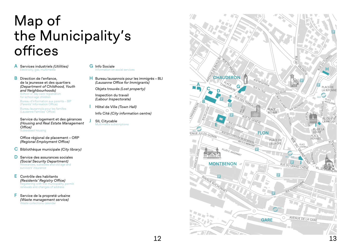## Map of the Municipality's offices

- **A** Services industriels *(Utilities)* Electricity, gas, multimedia
- **B** Direction de l'enfance, de la jeunesse et des quartiers *(Department of Childhood, Youth and Neighbourhoods)* School or day-care registration for school-age children Bureau d'information aux parents – BIP

(Parents' Information Office) Bureau lausannois pour les familles (Lausanne Families' Office)

Service du logement et des gérances *(Housing and Real Estate Management Office)* Subsidised housing

Office régional de placement – ORP *(Regional Employment Office)* 

**C** Bibliothèque municipale *(City library)*

- **D** Service des assurances sociales *(Social Security Department)*  Allowances, subsidies and old-age and survivors' insurance
- **E** Contrôle des habitants *(Residents' Registry Office)* Registering with the municipality, permit renewals and changes of address
- **F** Service de la propreté urbaine *(Waste management service)* Waste collections calendar

**G** Info Sociale Information on social services

**H** Bureau lausannois pour les immigrés – BLI *(Lausanne Office for Immigrants)*

Objets trouvés *(Lost property)*

Inspection du travail *(Labour Inspectorate)*

**I** Hôtel de Ville *(Town Hall)*

Info Cité *(City information centre)*

**J** SIL Citycable Multimedia subscriptions

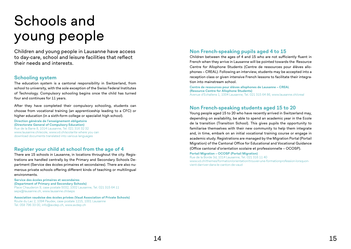# Schools and young people

Children and young people in Lausanne have access to day-care, school and leisure facilities that reflect their needs and interests.

#### **Schooling system**

The education system is a cantonal responsibility in Switzerland, from school to university, with the sole exception of the Swiss Federal Institutes of Technology. Compulsory schooling begins once the child has turned four and continues for 11 years.

After they have completed their compulsory schooling, students can choose from vocational training (an apprenticeship leading to a CFC) or higher education (in a sixth-form college or specialist high school).

**Direction générale de l'enseignement obligatoire (Directorate General of Compulsory Education)** Rue de la Barre 8, 1014 Lausanne, Tel. 021 316 32 32 www.lausanne.ch/ecole, www.vd.ch/scolarite where you can download documents translated into various languages

## **Register your child at school from the age of 4**

There are 15 schools in Lausanne, in locations throughout the city. Registrations are handled centrally by the Primary and Secondary Schools Department (Service des écoles primaires et secondaires). There are also numerous private schools offering different kinds of teaching or multilingual environments.

**Service des écoles primaires et secondaires (Department of Primary and Secondary Schools)** Place Chauderon 9, case postale 5032, 1002 Lausanne, Tel. 021 315 64 11 seps@lausanne.ch, www.lausanne.ch/seps

**Association vaudoise des écoles privées (Vaud Association of Private Schools)** Route du Lac 2, 1094 Paudex, case postale 1215, 1001 Lausanne Tel. 058 796 33 00, info@avdep.ch, www.avdep.ch

## **Non French-speaking pupils aged 4 to 15**

Children between the ages of 4 and 15 who are not sufficiently fluent in French when they arrive in Lausanne will be pointed towards the Resource Centre for Allophone Students (Centre de ressources pour élèves allophones – CREAL). Following an interview, students may be accepted into a reception class or given intensive French lessons to facilitate their integration into mainstream school.

**Centre de ressources pour élèves allophones de Lausanne – CREAL (Resource Centre for Allophone Students)** Avenue d'Echallens 1, 1004 Lausanne, Tel. 021 315 64 86, www.lausanne.ch/creal

## **Non French-speaking students aged 15 to 20**

Young people aged 15 to 20 who have recently arrived in Switzerland may, depending on availability, be able to spend an academic year in the Ecole de la transition (Transition School). This gives pupils the opportunity to familiarise themselves with their new community to help them integrate and, in time, embark on an initial vocational training course or engage in academic study. Registrations are managed by the Migration Portal (Portail Migration) of the Cantonal Office for Educational and Vocational Guidance (Office cantonal d'orientation scolaire et professionnelle – OCOSP).

**Portail Migration – OCOSP (Portail Migration)** Rue de la Borde 3d, 1014 Lausanne, Tel. 021 316 11 40 www.vd.ch/themes/formation/orientation/trouver-une-formationprofession-lorsquonvient-darriver-dans-le-canton-de-vaud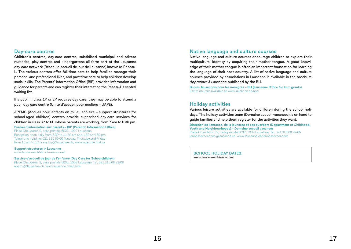#### **Day-care centres**

Children's centres, day-care centres, subsidised municipal and private nurseries, play centres and kindergartens all form part of the Lausanne day-care network (Réseau d'accueil de jour de Lausanne) known as Réseau-L. The various centres offer full-time care to help families manage their personal and professional lives, and part-time care to help children develop social skills. The Parents' Information Office (BIP) provides information and guidance for parents and can register their interest on the Réseau-L's central waiting list.

If a pupil in class 1P or 2P requires day care, they may be able to attend a pupil day care centre (Unité d'accueil pour écoliers – UAPE).

APEMS (Accueil pour enfants en milieu scolaire – support structures for school-aged children) centres provide supervised day-care services for children in class 3P to 6P whose parents are working, from 7 am to 6.30 pm.

**Bureau d'information aux parents – BIP (Parents' Information Office)** Place Chauderon 9, case postale 5032, 1002 Lausanne Reception open daily from 8.30 to 11.30 am and 1.30 to 4.30 pm Telephone helpline: 021 315 60 00 Tuesday, Thursday and Friday from 10 am to 12 noon. bip@lausanne.ch, www.lausanne.ch/bip

**Support structures in Lausanne**  www.lausanne.ch/structures-accueil

**Service d'accueil de jour de l'enfance (Day Care for Schoolchildren)** Place Chauderon 9, case postale 5032, 1002 Lausanne, Tel. 021 315 68 33/08 apems@lausanne.ch, www.lausanne.ch/apems

## **Native language and culture courses**

Native language and culture courses encourage children to explore their multicultural identity by acquiring their mother tongue. A good knowledge of their mother tongue is often an important foundation for learning the language of their host country. A list of native language and culture courses provided by associations in Lausanne is available in the brochure *Apprendre à Lausanne* published by the BLI.

**Bureau lausannois pour les immigrés – BLI (Lausanne Office for Immigrants)**  List of courses available at www.lausanne.ch/apal

### **Holiday activities**

Various leisure activities are available for children during the school holidays. The holiday activities team (Domaine accueil vacances) is on hand to guide families and help them register for the activities they want.

**Direction de l'enfance, de la jeunesse et des quartiers (Department of Childhood, Youth and Neighbourhoods) – Domaine accueil vacances** Place Chauderon 7a, case postale 5032, 1002 Lausanne, Tel. 021 315 68 22/65 jeunessevacances@lausanne.ch, www.lausanne.ch/jeunessevacances

**SCHOOL HOLIDAY DATES:** www.lausanne.ch/vacances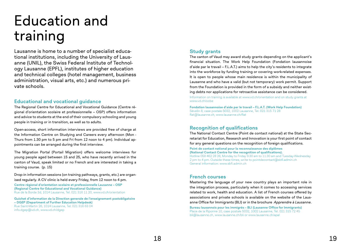# Education and training

Lausanne is home to a number of specialist educational institutions, including the University of Lausanne (UNIL), the Swiss Federal Institute of Technology Lausanne (EPFL), institutes of higher education and technical colleges (hotel management, business administration, visual arts, etc.) and numerous private schools.

#### **Educational and vocational guidance**

The Regional Centre for Educational and Vocational Guidance (Centre régional d'orientation scolaire et professionnelle – OSP) offers information and advice to students at the end of their compulsory schooling and young people in training or in transition, as well as to adults.

Open-access, short information interviews are provided free of charge at the Information Centre on Studying and Careers every afternoon (Mon - Thurs from 1.30 pm to 5 pm and Fri from 12 noon to 4 pm). Individual appointments can be arranged during the first interview.

The Migration Portal (Portail Migration) offers welcome interviews for young people aged between 15 and 25, who have recently arrived in the canton of Vaud, speak limited or no French and are interested in taking a training course. (p. 15)

Drop-in information sessions (on training pathways, grants, etc.) are organised regularly. A CV clinic is held every Friday, from 12 noon to 4 pm.

**Centre régional d'orientation scolaire et professionnelle Lausanne – OSP (Regional Centre for Educational and Vocational Guidance)**  Rue de la Borde 3d, 1014 Lausanne, Tel. 021 316 11 20, www.vd.ch/orientation

**Guichet d'information de la Direction generale de l'enseignement postobligatoire – DGEP (Department of Further Education Helpdesk)**  Rue Saint-Martin 26, 1014 Lausanne, Tel. 021 316 63 04 info.dgep@vd.ch, www.vd.ch/dgep

### **Study grants**

The canton of Vaud may award study grants depending on the applicant's financial situation. The Work Help Foundation (Fondation lausannoise d'aide par le travail – F.L.A.T.) aims to help the city's residents to integrate into the workforce by funding training or covering work-related expenses. It is open to people whose main residence is within the municipality of Lausanne and who have a valid (but not temporary) work permit. Support from the Foundation is provided in the form of a subsidy and neither existing debts nor applications for retroactive assistance can be considered.

Information on training is available at www.vd.ch/orientation and on study grants at www.vd.ch/ocbe

**Fondation lausannoise d'aide par le travail – F.L.A.T. (Work Help Foundation)**  Sévelin 8, case postale 5032, 1002 Lausanne, Tel. 021 315 71 28 flat@lausanne.ch, www.lausanne.ch/flat

## **Recognition of qualifications**

The National Contact Centre (Point de contact national) at the State Secretariat for Education, Research and Innovation is your first point of contact for any general questions on the recognition of foreign qualifications.

**Point de contact national pour la reconnaissance des diplômes (National Contact Centre for the recognition of qualifications).**  Hotline 058 462 28 26, Monday to Friday 9.30 am to 11.30 am and Tuesday-Wednesday 2 pm to 4 pm. Outside these times, write to pointdecontact@sbfi.admin.ch General information: www.sbfi.admin.ch

## **French courses**

Mastering the language of your new country plays an important role in the integration process, particularly when it comes to accessing services related to work, health and education. A list of French courses offered by associations and private schools is available on the website of the Lausanne Office for Immigrants (BLI) or in the brochure *Apprendre à Lausanne*. **Bureau lausannois pour les immigrés – BLI (Lausanne Office for Immigrants)**  Place de la Riponne 10, case postale 5032, 1002 Lausanne, Tel. 021 315 72 45 bli@lausanne.ch, www.lausanne.ch/bli or www.lausanne.ch/apal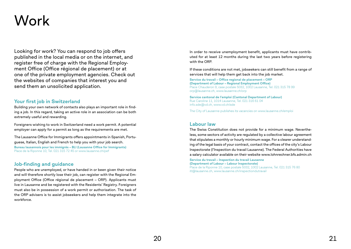## Work

Looking for work? You can respond to job offers published in the local media or on the internet, and register free of charge with the Regional Employment Office (Office régional de placement) or at one of the private employment agencies. Check out the websites of companies that interest you and send them an unsolicited application.

### **Your first job in Switzerland**

Building your own network of contacts also plays an important role in finding a job. In this regard, taking an active role in an association can be both extremely useful and rewarding.

Foreigners wishing to work in Switzerland need a work permit. A potential employer can apply for a permit as long as the requirements are met.

The Lausanne Office for Immigrants offers appointments in Spanish, Portuguese, Italian, English and French to help you with your job search. **Bureau lausannois pour les immigrés – BLI (Lausanne Office for Immigrants)**  Place de la Riponne 10, Tel. 021 315 72 45 or www.lausanne.ch/pef

### **Job-finding and guidance**

People who are unemployed, or have handed in or been given their notice and will therefore shortly lose their job, can register with the Regional Employment Office (Office régional de placement – ORP). Applicants must live in Lausanne and be registered with the Residents' Registry. Foreigners must also be in possession of a work permit or authorisation. The task of the ORP advisers is to assist jobseekers and help them integrate into the workforce.

In order to receive unemployment benefit, applicants must have contributed for at least 12 months during the last two years before registering with the ORP.

If these conditions are not met, jobseekers can still benefit from a range of services that will help them get back into the job market.

**Service du travail – Office regional de placement – ORP (Department of Labour – Regional Employment Office)**  Place Chauderon 9, case postale 5032, 1002 Lausanne, Tel. 021 315 78 99 orp@lausanne.ch, www.lausanne.ch/orp

**Service cantonal de l'emploi (Cantonal Department of Labour)** Rue Caroline 11, 1014 Lausanne, Tel. 021 316 61 04 info.sde@vd.ch, www.vd.ch/sde

The City of Lausanne publishes its vacancies on www.lausanne.ch/emploi

#### **Labour law**

The Swiss Constitution does not provide for a minimum wage. Nevertheless, some sectors of activity are regulated by a collective labour agreement that stipulates a monthly or hourly minimum wage. For a clearer understanding of the legal basis of your contract, contact the offices of the city's Labour Inspectorate (l'Inspection du travail Lausanne). The Federal Authorities have a salary calculator available on their website www.lohnrechner.bfs.admin.ch

**Service du travail – Inspection du travail Lausanne (Department of Labour – Labour Inspectorate)** Place de la Riponne 10, case postale 5032, 1002 Lausanne, Tel. 021 315 76 80 itl@lausanne.ch, www.lausanne.ch/inspectiondutravail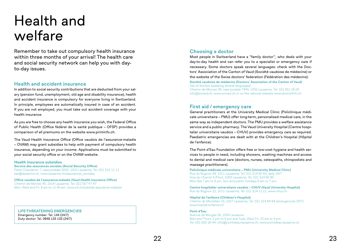## Health and welfare

Remember to take out compulsory health insurance within three months of your arrival! The health care and social security network can help you with dayto-day issues.

### **Health and accident insurance**

In addition to social security contributions that are deducted from your salary (pension fund, unemployment, old age and disability insurance), health and accident insurance is compulsory for everyone living in Switzerland. In principle, employees are automatically insured in case of an accident. If you are not employed, you must take out accident coverage with your health insurance.

As you are free to choose any health insurance you wish, the Federal Office of Public Health (Office fédéral de la santé publique – OFSP) provides a comparison of all premiums on the website www.priminfo.ch.

The Vaud Health Insurance Office (Office vaudois de l'assurance-maladie – OVAM) may grant subsidies to help with payment of compulsory health insurance, depending on your income. Applications must be submitted to your social security office or on the OVAM website.

#### **Health insurance subsidies**

**Service des assurances sociales (Social Security Office)** Place Chauderon 7, case postale 5032, 1002 Lausanne, Tel. 021 315 11 11 sas@lausanne.ch, www.lausanne.ch/assurances\_sociales

**Office vaudois de l'assurance-maladie (Vaud Health Insurance Office)** Chemin de Mornex 40, 1014 Lausanne, Tel. 021 557 47 47 Mon, Wed and Fri: 8 am to 11.45 am. www.vd.ch/subside-assurance-maladie

**LIFE-THREATENING EMERGENCIES** Emergency number: Tel. 144 (24/7) Duty doctor: Tel. 0848 133 133 (24/7)

## **Choosing a doctor**

Most people in Switzerland have a "family doctor",  who deals with your day-to-day health and can refer you to a specialist or emergency care if necessary. Some doctors speak several languages: check with the Doctors' Association of the Canton of Vaud (Société vaudoise de médecine) or the website of the Swiss doctors' federation (Fédération des médecins). **Société vaudoise de médecine (Doctors' Association of the Canton of Vaud)** 

(list of doctors speaking several languages) Chemin de Mornex 38, case postale 7443, 1002 Lausanne, Tel. 021 651 05 05 info@svmed.ch, www.svmed.ch or on the national website www.doctorfmh.ch

#### **First aid / emergency care**

General practitioners at the University Medical Clinic (Policlinique médicale universitaire – PMU) offer long-term, personalised medical care, in the same way as independent doctors. The PMU provides a welfare assistance service and a public pharmacy. The Vaud University Hospital (Centre hospitalier universitaire vaudois – CHUV) provides emergency care as required. Paediatric emergencies are dealt with at the Children's Hospital (Hôpital de l'enfance).

The Point d'Eau Foundation offers free or low-cost hygiene and health services to people in need, including showers, washing machines and access to dental and medical care (doctors, nurses, osteopaths, chiropodists and massage practitioners).

**Policlinique médicale universitaire – PMU (University Medical Clinic)** Rue du Bugnon 44, 1011 Lausanne, Tel. 021 314 60 60, daily 24/7 Voie du Chariot 4 (Flon), 1003 Lausanne, Tel. 021 314 90 90 Mon-Sat 7 am to 9 pm, Sun and public holidays 9 am to 7 pm

**Centre hospitalier universitaire vaudois – CHUV (Vaud University Hospital)** Rue du Bugnon 21, 1011 Lausanne, Tel. 021 314 11 11, www.chuv.ch

**Hôpital de l'enfance (Children's Hospital)** Chemin de Montétan 16, 1007 Lausanne, Tel. 021 314 84 84 (emergencies 24/7) www.hopital-enfance.ch

#### **Point d'Eau**

Avenue de Morges 26, 1004 Lausanne Mon and Thurs: 2 pm to 8 pm and Tues, Wed, Fri: 10 am to 4 pm. Tel. 021 626 26 44, info@pointdeau-lausanne.ch, www.pointdeau-lausanne.ch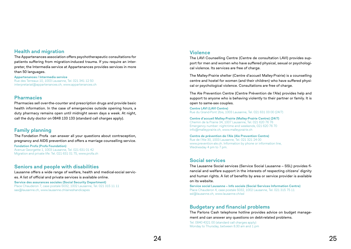## **Health and migration**

The Appartenances association offers psychotherapeutic consultations for patients suffering from migration-induced trauma. If you require an interpreter, the Intermedia service at Appartenances provides services in more than 50 languages.

**Appartenances / Intermedia service** Rue des Terreaux 10, 1003 Lausanne, Tel. 021 341 12 50 interpretariat@appartenances.ch, www.appartenances.ch

#### **Pharmacies**

Pharmacies sell over-the-counter and prescription drugs and provide basic health information. In the case of emergencies outside opening hours, a duty pharmacy remains open until midnight seven days a week. At night, call the duty doctor on 0848 133 133 (standard call charges apply).

## **Family planning**

The Fondation Profa can answer all your questions about contraception, pregnancy and AIDS prevention and offers a marriage counselling service. **Fondation Profa (Profa Foundation)** Avenue Georgette 1, 1003 Lausanne, Tel. 021 631 01 42 Migration and private life: Tel. 021 631 01 75, www.profa.ch

### **Seniors and people with disabilities**

Lausanne offers a wide range of welfare, health and medical-social services. A list of official and private services is available online.

**Service des assurances sociales (Social Security Department)** Place Chauderon 7, case postale 5032, 1002 Lausanne, Tel. 021 315 11 11 sas@lausanne.ch, www.lausanne.ch/aineshandicapes

#### **Violence**

The LAVI Counselling Centre (Centre de consultation LAVI) provides support for men and women who have suffered physical, sexual or psychological violence. Its services are free of charge.

The Malley-Prairie shelter (Centre d'accueil Malley-Prairie) is a counselling centre and hostel for women (and their children) who have suffered physical or psychological violence. Consultations are free of charge.

The Ale Prevention Centre (Centre Prévention de l'Ale) provides help and support to anyone who is behaving violently to their partner or family. It is open to same-sex couples.

**Centre LAVI (LAVI Centre)** Rue du Grand-Pont 2bis, 1003 Lausanne, Tel. 021 631 03 00 (24/7)

**Centre d'accueil Malley-Prairie (Malley-Prairie Centre) (24/7)** Chemin de la Prairie 34, 1007 Lausanne, Tel. 021 620 76 76 Emergency number: night-time and weekends, 021 620 76 70 info@malleyprairie.ch, www.malleyprairie.ch

**Centre de prévention de l'Ale (Ale Prevention Centre)** Rue de l'Ale 30, 1003 Lausanne, Tel. 021 321 24 00 www.prevention-ale.ch. Information by phone or information line, Wednesday 4 pm to 7 pm.

### **Social services**

The Lausanne Social services (Service Social Lausanne – SSL) provides financial and welfare support in the interests of respecting citizens' dignity and human rights. A list of benefits by area or service provider is available on its website.

**Service social Lausanne – Info sociale (Social Services Information Centre)** Place Chauderon 4, case postale 5032, 1002 Lausanne, Tel. 021 315 75 11 ssl@lausanne.ch, www.lausanne.ch/ssl

### **Budgetary and financial problems**

The Parlons Cash telephone hotline provides advice on budget management and can answer any questions on debt-related problems.

Tel. 0840 4321 00 (standard call charges apply) Monday to Thursday, between 8.30 am and 1 pm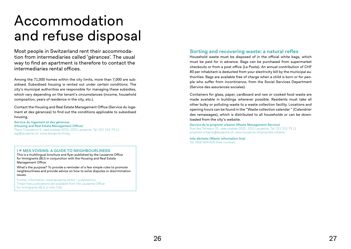## Accommodation and refuse disposal

Most people in Switzerland rent their accommodation from intermediaries called 'gérances'. The usual way to find an apartment is therefore to contact the intermediaries rental offices.

Among the 71,000 homes within the city limits, more than 7,000 are subsidised. Subsidised housing is rented out under certain conditions. The city's municipal authorities are responsible for managing these subsidies, which vary depending on the tenant's circumstances (income, household composition, years of residence in the city, etc.).

Contact the Housing and Real Estate Management Office (Service du logement et des gérances) to find out the conditions applicable to subsidised housing.

**Service du logement et des gérances (Housing and Real Estate Management Office)** Place Chauderon 9, case postale 5032, 1002 Lausanne, Tel. 021 315 74 11 slg@lausanne.ch, www.lausanne.ch/slg

#### **I ɴ MES VOISINS: A GUIDE TO NEIGHBOURLINESS**

This is a multilingual brochure and flyer published by the Lausanne Office for Immigrants (BLI) in conjunction with the Housing and Real Estate Management Office.

What's the purpose? To provide a reminder of a few simple rules to promote neighbourliness and provide advice on how to solve disputes or discrimination issues.

Further information: www.lausanne.ch/bli > publications These free publications are available from the Lausanne Office for Immigrants (BLI) or Info Cité.

## **Sorting and recovering waste: a natural reflex**

Household waste must be disposed of in the official white bags, which must be paid for in advance. Bags can be purchased from supermarket checkouts or from a post office (La Poste). An annual contribution of CHF 80 per inhabitant is deducted from your electricity bill by the municipal authorities. Bags are available free of charge when a child is born or for people who suffer from incontinence, from the Social Services Department (Service des assurances sociales).

Containers for glass, paper, cardboard and raw or cooked food waste are made available in buildings wherever possible. Residents must take all other bulky or polluting waste to a waste collection facility. Locations and opening hours can be found in the "Waste collection calendar " (Calendrier des ramassages), which is distributed to all households or can be downloaded from the city's website.

**Service de la propreté urbaine (Waste Management Service)**

Rue des Terreaux 33, case postale 5032, 1002 Lausanne, Tel. 021 315 79 11 proprete.urbaine@lausanne.ch, www.lausanne.ch/proprete-urbaine

**Info-déchets (Waste information line)** Tel. 0800 804 806 (free number)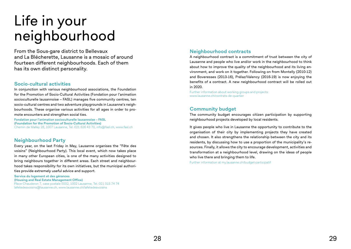# Life in your neighbourhood

From the Sous-gare district to Bellevaux and La Blécherette, Lausanne is a mosaic of around fourteen different neighbourhoods. Each of them has its own distinct personality.

### **Socio-cultural activities**

In conjunction with various neighbourhood associations, the Foundation for the Promotion of Socio-Cultural Activities (Fondation pour l'animation socioculturelle lausannoise – FASL) manages five community centres, ten socio-cultural centres and two adventure playgrounds in Lausanne's neighbourhoods. These organise various activities for all ages in order to promote encounters and strengthen social ties.

**Fondation pour l'animation socioculturelle lausannoise – FASL (Foundation for the Promotion of Socio-Cultural Activities)** Chemin de Malley 28, 1007 Lausanne, Tel. 021 626 43 70, info@fasl.ch, www.fasl.ch

## **Neighbourhood Party**

Every year, on the last Friday in May, Lausanne organises the "Fête des voisins" (Neighbourhood Party). This local event, which now takes place in many other European cities, is one of the many activities designed to bring neighbours together in different areas. Each street and neighbourhood takes responsibility for its own initiatives, but the municipal authorities provide extremely useful advice and support.

**Service du logement et des gérances (Housing and Real Estate Management Office)** Place Chauderon 7, case postale 5032, 1002 Lausanne, Tel. 021 315 74 74 lafetedesvoisins@lausanne.ch, www.lausanne.ch/lafetedesvoisins

## **Neighbourhood contracts**

A neighbourhood contract is a commitment of trust between the city of Lausanne and people who live and/or work in the neighbourhood to think about how to improve the quality of the neighbourhood and its living environment, and work on it together. Following on from Montelly (2010-12) and Boveresses (2013-16), Prélaz/Valency (2016-19) is now enjoying the benefits of a contract. A new neighbourhood contract will be rolled out in 2020.

Further information about working groups and projects: www.lausanne.ch/contrats-de-quartier

## **Community budget**

The community budget encourages citizen participation by supporting neighbourhood projects developed by local residents.

It gives people who live in Lausanne the opportunity to contribute to the organisation of their city by implementing projects they have created and chosen. It also strengthens the relationship between the city and its residents, by discussing how to use a proportion of the municipality's resources. Finally, it allows the city to encourage development, activities and transformation at a neighbourhood level, drawing on the ideas of people who live there and bringing them to life.

Further information at my.lausanne.ch/budget-participatif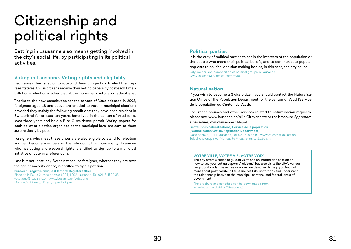# Citizenship and political rights

Settling in Lausanne also means getting involved in the city's social life, by participating in its political activities.

## **Voting in Lausanne. Voting rights and eligibility**

People are often called on to vote on different projects or to elect their representatives. Swiss citizens receive their voting papers by post each time a ballot or an election is scheduled at the municipal, cantonal or federal level.

Thanks to the new constitution for the canton of Vaud adopted in 2003, foreigners aged 18 and above are entitled to vote in municipal elections provided they satisfy the following conditions: they have been resident in Switzerland for at least ten years, have lived in the canton of Vaud for at least three years and hold a B or C residence permit. Voting papers for each ballot or election organised at the municipal level are sent to them automatically by post.

Foreigners who meet these criteria are also eligible to stand for election and can become members of the city council or municipality. Everyone who has voting and electoral rights is entitled to sign up to a municipal initiative or vote in a referendum.

Last but not least, any Swiss national or foreigner, whether they are over the age of majority or not, is entitled to sign a petition.

**Bureau du registre civique (Electoral Register Office)** Place de la Palud 2, case postale 6904, 1002 Lausanne, Tel. 021 315 22 33 votations@lausanne.ch, www.lausanne.ch/votations Mon-Fri, 9.30 am to 11 am, 2 pm to 4 pm

## **Political parties**

It is the duty of political parties to act in the interests of the population or the people who share their political beliefs, and to communicate popular requests to political decision-making bodies, in this case, the city council. City council and composition of political groups in Lausanne www.lausanne.ch/conseil-communal

## **Naturalisation**

If you wish to become a Swiss citizen, you should contact the Naturalisation Office of the Population Department for the canton of Vaud (Service de la population du Canton de Vaud).

For French courses and other services related to naturalisation requests, please see www.lausanne.ch/bli > Citoyenneté or the brochure *Apprendre à Lausanne*, www.lausanne.ch/apal

**Secteur des naturalisations, Service de la population (Naturalisation Office, Population Department)** Case postale, 1014 Lausanne, Tel. 021 316 45 91, www.vd.ch/naturalisation Telephone enquiries: Monday to Friday, 9 am to 11.30 am

#### **VOTRE VILLE, VOTRE VIE, VOTRE VOIX**

The city offers a series of guided visits and an information session on how to use your voting papers. A citizens' bus also visits the city's various neighbourhoods. These free sessions are designed to help you find out more about political life in Lausanne, visit its institutions and understand the relationship between the municipal, cantonal and federal levels of government.

The brochure and schedule can be downloaded from www.lausanne.ch/bli > Citoyenneté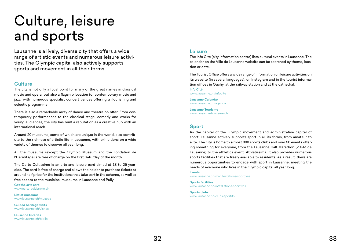## Culture, leisure and sports

Lausanne is a lively, diverse city that offers a wide range of artistic events and numerous leisure activities. The Olympic capital also actively supports sports and movement in all their forms.

#### **Culture**

The city is not only a focal point for many of the great names in classical music and opera, but also a flagship location for contemporary music and jazz, with numerous specialist concert venues offering a flourishing and eclectic programme.

There is also a remarkable array of dance and theatre on offer. From contemporary performances to the classical stage, comedy and works for young audiences, the city has built a reputation as a creative hub with an international reach.

Around 20 museums, some of which are unique in the world, also contribute to the richness of artistic life in Lausanne, with exhibitions on a wide variety of themes to discover all year long.

All the museums (except the Olympic Museum and the Fondation de l'Hermitage) are free of charge on the first Saturday of the month.

The Carte Cultissime is an arts and leisure card aimed at 18 to 25 yearolds. The card is free of charge and allows the holder to purchase tickets at around half price for the institutions that take part in the scheme, as well as free access to the municipal museums in Lausanne and Pully.

**Get the arts card** www.carte-cultissime.ch

**List of museums** www.lausanne.ch/musees

**Guided heritage visits** www.lausanne.ch/visites

**Lausanne libraries** www.lausanne.ch/biblio

#### **Leisure**

The Info Cité (city information centre) lists cultural events in Lausanne. The calendar on the Ville de Lausanne website can be searched by theme, location or date.

The Tourist Office offers a wide range of information on leisure activities on its website (in several languages), on Instagram and in the tourist information offices in Ouchy, at the railway station and at the cathedral.

**Info Cité** www.lausanne.ch/infocite

**Lausanne Calendar** www.lausanne.ch/agenda

**Lausanne Tourisme** www.lausanne-tourisme.ch

## **Sport**

As the capital of the Olympic movement and administrative capital of sport, Lausanne actively supports sport in all its forms, from amateur to elite. The city is home to almost 300 sports clubs and over 50 events offering something for everyone, from the Lausanne Half Marathon (20KM de Lausanne) to the athletics event, Athletissima. It also provides numerous sports facilities that are freely available to residents. As a result, there are numerous opportunities to engage with sport in Lausanne, meeting the needs of everyone who lives in the Olympic capital all year long.

**Events** www.lausanne.ch/manifestations-sportives

**Sports facilities** www.lausanne.ch/installations-sportives

**Sports clubs** www.lausanne.ch/clubs-sportifs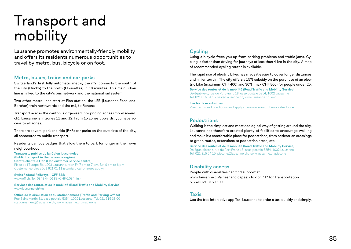# Transport and mobility

Lausanne promotes environmentally-friendly mobility and offers its residents numerous opportunities to travel by metro, bus, bicycle or on foot.

#### **Metro, buses, trains and car parks**

Switzerland's first fully automatic metro, the m2, connects the south of the city (Ouchy) to the north (Croisettes) in 18 minutes. This main urban line is linked to the city's bus network and the national rail system.

Two other metro lines start at Flon station: the LEB (Lausanne-Echallens-Bercher) train northwards and the m1, to Renens.

Transport across the canton is organised into pricing zones (mobilis-vaud. ch); Lausanne is in zones 11 and 12. From 15 zones upwards, you have access to all zones.

There are several park-and-ride (P+R) car parks on the outskirts of the city, all connected to public transport.

Residents can buy badges that allow them to park for longer in their own neighbourhood.

**Transports publics de la région lausannoise (Public transport in the Lausanne region) Centre clientèle Flon (Flon customer service centre)** Place de l'Europe 5b, 1003 Lausanne, Mon-Fri 7 am to 7 pm, Sat 9 am to 6 pm Customer services 021 621 01 11 (standard call charges apply).

**Swiss Federal Railways – CFF-SBB** www.cff.ch, Tel. 0848 44 66 88 (CHF 0.08/min.)

**Services des routes et de la mobilité (Road Traffic and Mobility Service)** www.lausanne.ch/rm

**Office de la circulation et du stationnement (Traffic and Parking Office)** Rue Saint-Martin 31, case postale 5354, 1002 Lausanne, Tel. 021 315 38 00 stationnement@lausanne.ch, www.lausanne.ch/macarons

## **Cycling**

Using a bicycle frees you up from parking problems and traffic jams. Cycling is faster than driving for journeys of less than 4 km in the city. A map of recommended cycling routes is available.

The rapid rise of electric bikes has made it easier to cover longer distances and hillier terrain. The city offers a 15% subsidy on the purchase of an electric bike (maximum CHF 400) and 30% (max CHF 800) for people under 25.

**Service des routes et de la mobilité (Road Traffic and Mobility Service)** Délégué vélo, rue du Port-Franc 18, case postale 5354, 1002 Lausanne Tel. 021 315 54 15, velo@lausanne.ch, www.lausanne.ch/velo

**Electric bike subsidies** View terms and conditions and apply at www.equiwatt.ch/mobilite-douce

### **Pedestrians**

Walking is the simplest and most ecological way of getting around the city. Lausanne has therefore created plenty of facilities to encourage walking and make it a comfortable place for pedestrians, from pedestrian crossings to green routes, extensions to pedestrian areas, etc.

**Service des routes et de la mobilité (Road Traffic and Mobility Service)** Délégué piétons, rue du Port-Franc 18, case postale 5354, 1002 Lausanne Tel. 021 315 54 15, pietons@lausanne.ch, www.lausanne.ch/pietons

#### **Disability access**

People with disabilities can find support at www.lausanne.ch/aineshandicapes: click on "T" for Transportation or call 021 315 11 11.

#### **Taxis**

Use the free interactive app Taxi Lausanne to order a taxi quickly and simply.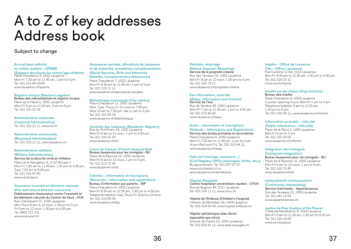## A to Z of key addresses Address book

#### Subject to change

#### **Accueil pour enfants en milieu scolaire – APEMS**

#### **(Support structures for school-age children)** Place Chauderon 9, 1002 Lausanne

Mon-Fri 7.30 am to 11.45 am, 1 pm to 5 pm Tel. 021 315 68 33/08 www.lausanne.ch/apems

**Registre civique (Electoral register)** Bureau des naturalisations et registre civique Place de la Palud 2, 1002 Lausanne Mon-Fri 9 am to 11.30 am, 2 pm to 6 pm Tel. 021 315 22 33

#### **Administration cantonale**

**(Cantonal Administration)** Tel. 021 316 21 11, www.vd.ch

## **Administration communale**

**(Municipal Administration)** Tel. 021 315 11 11, www.lausanne.ch

#### **Administration militaire (Military Administration)**

Service de la sécurité civile et militaire Place de la Navigation 6, 1110 Morges 1 Mon-Fri 7.30 am to 11.45 am, 1.30 pm to 4.45 pm, Tues 7.30 am to 6.30 pm Tel. 021 316 47 40 www.vd.ch/sscm

#### **Assurance incendie et éléments naturels**

**(Fire and natural disaster insurance)**

Etablissement d'assurance contre l'incendie et les éléments naturels du Canton de Vaud – ECA Rue Cité-Devant 12, 1005 Lausanne Mon-Thurs 8 am to 12 noon, 1.30 pm to 5 pm Fri 8 am to 12 noon, 1.30 pm to 4.30 pm Tel. 0800 721 721

www.eca-vaud.ch

**Assurances sociales, allocations de naissance et de maternité, prestations complémentaires (Social Security, Birth and Maternity Benefits, Complementary Allowances)** Place Chauderon 7, 1002 Lausanne Mon-Fri 8.30 am to 11.45 am, 1 pm to 5 pm Tel. 021 315 11 11 www.lausanne.ch/assurances-sociales

**Bibliothèque municipale (City Library)** Place Chauderon 11, 1002 Lausanne Mon, Tues, Thurs, Fri 12 noon to 7.30 pm, Wed 10 am to 7.30 pm. Sat 11 am to 4 pm Tel. 021 315 69 15 www.lausanne.ch/bibliotheque

#### **Contrôle des habitants (Residents' Registry)**

Rue du Port-Franc 18, 1002 Lausanne Mon-Fri 8 am to 12 noon, 1 pm to 4.30 pm Tel. 021 315 31 33 www.lausanne.ch/ch

#### **Cours de français (French lessons) (list)**

Bureau lausannois pour les immigrés – BLI Place de la Riponne 10, 1002 Lausanne Mon-Fri 8 am to 12 noon, 1 pm to 5 pm, Tel. 021 315 72 45 www.lausanne.ch/bli

#### **Crèches – information et inscriptions (Nurseries – information and registration)**

## Bureau d'information aux parents – BIP

Place Chauderon 9, 1002 Lausanne Mon-Fri 8.30 am to 11.30 am, 1.30 pm to 4.30 pm Telephone helpline: Tues, Thurs, Fri 10 am to 12 noon Tel. 021 315 60 00, www.lausanne.ch/bip

#### **Déchets, recyclage (Refuse disposal, Recycling)**

Service de la propreté urbaine Rue des Terreaux 33, 1002 Lausanne Mon-Fri 8 am to 12 noon, 1.30 pm to 5 pm Tel. 021 315 79 11 www.lausanne.ch/proprete-urbaine

#### **Eau information, contrôle (Water, Information and Control)** Service de l'eau

Rue de Genève 36, 1002 Lausanne Mon-Fri 7 am to 11.30 am, 1 pm to 4.30 pm Tel. 021 315 85 30 www.lausanne.ch/eaux

#### **Ecole – information et inscriptions**

#### **(Schools – Information and Registration)** Service des écoles primaires et secondaires Place Chauderon 9, 1002 Lausanne Mon-Fri 7.30 am to 11.45 am, 1 pm to 5 pm

(4 pm Wed and Fri), Tel. 021 315 64 11, www.lausanne.ch/seps

#### **Etat civil (mariage, naissance...)**

**(Civil Registry Office (marriages, births, etc.))** By appointment, Tel. 021 557 07 07 www.vd.ch/etatcivil or www.lausanne.ch/demarches

#### **Hôpital (Hospital)**

Centre hospitalier universitaire vaudois – CHUV Rue du Bugnon 46, 1011 Lausanne Tel. 021 314 11 11, www.chuv.ch

Hôpital de l'Enfance (Children's Hospital) Chemin de Montétan 16, 1004 Lausanne Tel. 021 314 84 84, www.hopital-enfance.ch

Hôpital ophtalmique Jules Gonin (specialist eye clinic) Avenue de France 15, 1004 Lausanne Tel. 021 626 81 11, www.asile-aveugles.ch

#### **Impôts – Office de Lausanne (Tax – Office Lausanne)**

Rue Caroline 11 bis, 1014 Lausanne Mon-Fri 8.30 am to 11.30 am, 1.30 pm to 4.30 pm Tel. 021 316 23 11 www.vd.ch/impots

#### **Impôts sur les chiens (Dog Licences)** Bureau des impôts

Place Chauderon 9, 1002 Lausanne Counter opening hours: Mon-Fri 1 pm to 4 pm Telephone helpline: 9 am to 11.30 am,  $1.30$  pm to 4 pm. Tel. 021 315 43 11, www.lausanne.ch/impots

#### **Information au public – info cité**

**(Public information – Info cité)** Place de la Palud 2, 1002 Lausanne Mon-Fri 8 am to 5 pm Tel. 021 315 25 55 www.lausanne.ch/infocite

#### **Intégration des immigrés (Immigrant Integration)**

Bureau lausannois pour les immigrés – BLI Place de la Riponne 10, 1002 Lausanne Mon-Fri 8 am to 12 noon, 1 pm to 5 pm, Tel. 021 315 72 45

www.lausanne.ch/bli

#### **Interprétariat communautaire**

**(Community Interpreting)**

Service Intermedia – Appartenances Rue des Terreaux 10, 1003 Lausanne Tel. 021 341 12 50 www.appartenances.ch

**Justice de Paix (Justice of the Peace)**

Côtes-de-Montbenon 8, 1014 Lausanne Mon-Fri 8 am to 11.30 am, 1.30 pm to 4.30 pm Tel. 021 316 10 60 www.vd.ch/justice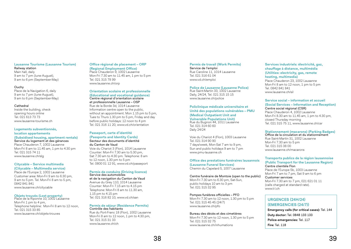#### **Lausanne Tourisme (Lausanne Tourism)**

Railway station Main hall, daily 9 am to 7 pm (June-August). 9 am to 6 pm (September-May)

#### **Ouchy**

Place de la Navigation 6, daily 9 am to 7 pm (June-August), 9 am to 6 pm (September-May)

#### Cathedral

Inside the building, check opening hours online Tel. 021 613 73 73 www.lausanne-tourisme.ch

#### **Logements subventionnés,**

#### **location appartements**

**(Subsidised housing, apartment rentals)** Service du logement et des gérances

Place Chauderon 7, 1002 Lausanne Mon-Fri 8 am to 11.45 am, 1 pm to 4.30 pm Tel. 021 315 74 11 www.lausanne.ch/slg

#### **Citycable – Service multimedia (Citycable – Multimedia service)**

Place de l'Europe 2, 1002 Lausanne Customer area: Mon-Fri 9 am to 6.30 pm, 9 am to 5 pm. Tel. Mon-Fri 8 am to 5 pm, 0842 841 841 www.lausanne.ch/citycable

#### **Objets trouvés (Lost property)**

Place de la Riponne 10, 1002 Lausanne Mon-Fri 1 pm to 4 pm, Telephone helpline: Mon-Fri 8 am to 12 noon, Tel. 021 315 33 85 www.lausanne.ch/objets-trouves

#### **Office régional de placement – ORP (Regional Employment Office)**

Place Chauderon 9, 1002 Lausanne Mon-Fri 7.30 am to 11.45 am, 1 pm to 5 pm Tel. 021 315 78 99 www.lausanne.ch/orp

#### **Orientation scolaire et professionnelle (Educational and vocational guidance)** Centre régional d'orientation scolaire et professionnelle Lausanne – OSP Rue de la Borde 3d, 1014 Lausanne Information centre open to the public, without an appointment. Mon 1.15 pm to 5 pm,

Tues to Thurs 1.30 pm to 5 pm, Friday and day before public holidays: 12 noon to 4 pm Tel. 021 316 11 20, www.vd.ch/orientation

## **Passeport, carte d'identité**

**(Passports and Identity Cards)** Secteur des documents d'identité du Canton de Vaud Voie du Chariot 3 (Flon), 1014 Lausanne

Counter: Mon-Fri 7.30 am to 5.30 pm, Sat 7.30 am to 4.30 pm. Telephone: 8 am to 12 noon, 1.30 pm to 5 pm Tel. 0800 01 12 91, www.vd.ch/passeport

#### **Permis de conduire (Driving licence)** Service des automobiles et de la navigation du Canton de Vaud

Avenue du Grey 110, 1014 Lausanne Counter: Mon-Fri 7.15 am to 4.15 pm Telephone: Mon-Fri 8 am to 11.30 am, 1.15 pm to 4.15 pm Tel. 021 316 82 10, www.vd.ch/san

#### **Permis de séjour (Residence Permits)** Contrôle des habitants

Rue du Port-Franc 18 (Flon), 1002 Lausanne Mon-Fri 8 am to 12 noon, 1 pm to 4.30 pm. Tel. 021 315 31 33 www.lausanne.ch/ch

#### **Permis de travail (Work Permits)** Service de l'emploi Rue Caroline 11, 1014 Lausanne

Tel. 021 316 61 04 www.vd.ch/emploi

## **Police de Lausanne (Lausanne Police)** Rue Saint-Martin 33, 1002 Lausanne

Daily, 24/24, Tel. 021 315 15 15 www.lausanne.ch/police

#### **Policlinique médicale universitaire et Unité des populations vulnérables – PMU (Medical Outpatient Unit and Vulnerable Populations Unit)** Rue du Bugnon 44, 1011 Lausanne Tel. 021 314 60 60 Daily 24/24

Voie du Chariot 4 (Flon), 1003 Lausanne Tel. 021 314 90 90 7 days/week, Mon-Sat 7 am to 9 pm, Sun and public holidays 9 am to 7 pm www.pmu-lausanne.ch

#### **Office des prestations funéraires lausannois (Lausanne Funeral Services)** Chemin du Capelard 5, 1007 Lausanne

Centre funéraire de Montoie (open to the public) Mon-Fri 7.30 am to 6.30 pm, Sat-Sun, public holidays 10 am to 3 pm Tel. 021 315 32 95

#### Pompes funèbres officielles – PFO

Mon-Fri 7.30 am to 12 noon, 1.30 pm to 5 pm Tel. 021 315 45 45 (24/7) www.lausanne.ch/pfo

#### Bureau des décès et des cimetières Mon-Fri 7.30 am to 12 noon, 1.30 pm to 5 pm Tel. 021 315 32 75 www.lausanne.ch/inhumations

**Services industriels: électricité, gaz, chauffage à distance, multimédia (Utilities: electricity, gas, remote heating, multimedia)** Place Chauderon 23, 1002 Lausanne Mon-Fri 8 am to 12 noon, 1 pm to 5 pm Tel. 0842 841 841 www.lausanne.ch/sil

#### **Service social – information et accueil (Social Services – Information and Reception)** Centre social régional (CSR)

Place Chauderon 4, 1002 Lausanne Mon-Fri 8.30 am to 11.45 am, 1 pm to 4.30 pm, closed Thursday morning Tel. 021 315 75 11, www.lausanne.ch/csr

#### **Stationnement (macarons) (Parking Badges)**

Office de la circulation et du stationnement Rue Saint-Martin 31, 1002 Lausanne Mon-Fri 7.30 am to 5 pm Tel. 021 315 38 00 www.lausanne.ch/macarons

#### **Transports publics de la région lausannoise (Public Transport for the Lausanne Region)** Centre clientèle Flon Place de l'Europe 5b, 1003 Lausanne Mon-Fri 7 am to 7 pm, Sat 9 am to 6 pm Customer services

Mon-Fri 7.30 am to 7 pm, 021 621 01 11 (calls charged at standard rate). www.t-l.ch

### **URGENCES (24H/24) (EMERGENCIES (24/7))**

**Emergency calls (for critical cases):** Tel. 144 **Duty doctor:** Tel. 0848 133 133 **Police-emergencies:** Tel. 117 **Fire:** Tel. 118